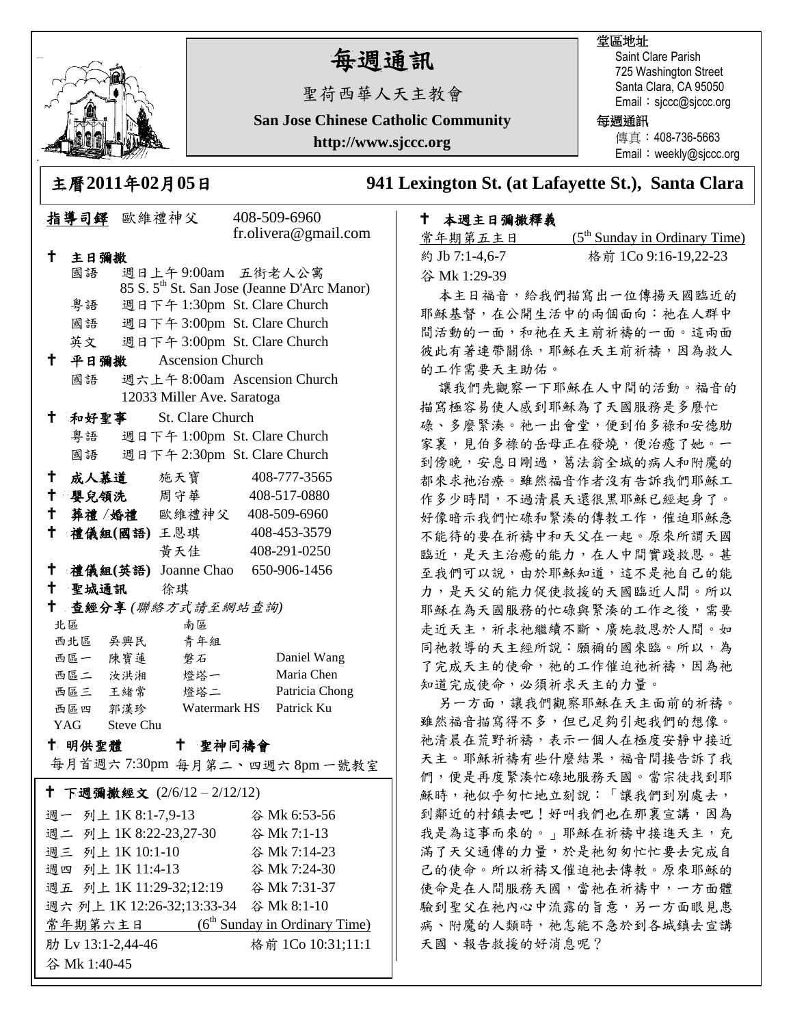

# 每週通訊

聖荷西華人天主教會

**San Jose Chinese Catholic Community**

**http://www.sjccc.org**

## 堂區地址

Saint Clare Parish 725 Washington Street Santa Clara, CA 95050 Email: sjccc@sjccc.org

### 每週通訊

傳真:408-736-5663 Email: weekly@sjccc.org

主曆**2011**年**02**月**05**日 **941 Lexington St. (at Lafayette St.), Santa Clara** 

### 本週主日彌撒釋義

| 常年期第五主日        | $(5th$ Sunday in Ordinary Time) |
|----------------|---------------------------------|
| 約 Jb 7:1-4.6-7 | 格前 1Co 9:16-19,22-23            |
| 谷 Mk 1:29-39   |                                 |

本主日福音,給我們描寫出一位傳揚天國臨近的 耶穌基督,在公開生活中的兩個面向:祂在人群中 間活動的一面,和祂在天主前祈禱的一面。這兩面 彼此有著連帶關係,耶穌在天主前祈禱,因為救人 的工作需要天主助佑。

讓我們先觀察一下耶穌在人中間的活動。福音的 描寫極容易使人感到耶穌為了天國服務是多麼忙 碌、多麼緊湊。祂一出會堂,便到伯多祿和安德肋 家裏,見伯多祿的岳母正在發燒,便治癒了她。一 到傍晚,安息日剛過,葛法翁全城的病人和附魔的 都來求祂治療。雖然福音作者沒有告訴我們耶穌工 作多少時間,不過清晨天還很黑耶穌已經起身了。 好像暗示我們忙碌和緊湊的傳教工作,催迫耶穌急 不能待的要在祈禱中和天父在一起。原來所謂天國 臨近,是天主治癒的能力,在人中間實踐救恩。甚 至我們可以說,由於耶穌知道,這不是祂自己的能 力,是天父的能力促使救援的天國臨近人間。所以 耶穌在為天國服務的忙碌與緊湊的工作之後,需要 走近天主,祈求祂繼續不斷、廣施救恩於人間。如 同祂教導的天主經所說:願禰的國來臨。所以,為 了完成天主的使命,祂的工作催迫祂祈禱,因為祂 知道完成使命,必須祈求天主的力量。

另一方面,讓我們觀察耶穌在天主面前的祈禱。 雖然福音描寫得不多,但已足夠引起我們的想像。 祂清晨在荒野祈禱,表示一個人在極度安靜中接近 天主。耶穌祈禱有些什麼結果,福音間接告訴了我 們,便是再度緊湊忙碌地服務天國。當宗徒找到耶 穌時,祂似乎匆忙地立刻說:「讓我們到別處去, 到鄰近的村鎮去吧!好叫我們也在那裏宣講,因為 我是為這事而來的。」耶穌在祈禱中接進天主,充 滿了天父通傳的力量,於是祂匆匆忙忙要去完成自 己的使命。所以祈禱又催迫祂去傳教。原來耶穌的 使命是在人間服務天國,當祂在祈禱中,一方面體 驗到聖父在祂內心中流露的旨意,另一方面眼見患 病、附魔的人類時,祂怎能不急於到各城鎮去宣講 天國、報告救援的好消息呢?

|                                                   | 指導司鐸 歐維禮神父          |  |                                 |  | 408-509-6960                                            |  |
|---------------------------------------------------|---------------------|--|---------------------------------|--|---------------------------------------------------------|--|
|                                                   |                     |  |                                 |  | fr.olivera@gmail.com                                    |  |
| †∶                                                | 主日彌撒                |  |                                 |  |                                                         |  |
|                                                   | 國語                  |  | 週日上午9:00am 五街老人公寓               |  |                                                         |  |
|                                                   |                     |  |                                 |  | 85 S. 5 <sup>th</sup> St. San Jose (Jeanne D'Arc Manor) |  |
|                                                   | 粤語                  |  | 週日下午 1:30pm St. Clare Church    |  |                                                         |  |
|                                                   |                     |  | 國語 週日下午 3:00pm St. Clare Church |  |                                                         |  |
|                                                   |                     |  | 英文 週日下午 3:00pm St. Clare Church |  |                                                         |  |
| $\mathsf{t}$                                      | 平日彌撒                |  | <b>Ascension Church</b>         |  |                                                         |  |
|                                                   | 國語                  |  |                                 |  | 週六上午 8:00am Ascension Church                            |  |
| 12033 Miller Ave. Saratoga                        |                     |  |                                 |  |                                                         |  |
| Ť.,                                               |                     |  | 和好聖事 St. Clare Church           |  |                                                         |  |
|                                                   |                     |  | 粤語 週日下午 1:00pm St. Clare Church |  |                                                         |  |
|                                                   | 國語                  |  | 週日下午 2:30pm St. Clare Church    |  |                                                         |  |
| $^{\dagger}$                                      |                     |  | 成人慕道 施天寶 408-777-3565           |  |                                                         |  |
|                                                   |                     |  | 十 嬰兒領洗 周守華                      |  | 408-517-0880                                            |  |
|                                                   |                     |  | † 葬禮 /婚禮 歐維禮神父 408-509-6960     |  |                                                         |  |
| $^\dagger$                                        |                     |  | 禮儀組(國語)王恩琪 408-453-3579         |  |                                                         |  |
|                                                   |                     |  | 黄天佳                             |  | 408-291-0250                                            |  |
| $^+$                                              |                     |  |                                 |  |                                                         |  |
| 禮儀組(英語) Joanne Chao 650-906-1456<br>十 聖城通訊 徐琪     |                     |  |                                 |  |                                                         |  |
| $\mathbf{t}$<br>查經分享(聯絡方式請至網站查詢)                  |                     |  |                                 |  |                                                         |  |
|                                                   | 北區                  |  | 南區                              |  |                                                         |  |
|                                                   |                     |  | 西北區 吳興民 青年組                     |  |                                                         |  |
|                                                   | 西區一 陳寶蓮             |  | 磐石                              |  | Daniel Wang                                             |  |
|                                                   | 西區二 汝洪湘             |  | 燈塔一                             |  | Maria Chen                                              |  |
|                                                   | 西區三 王緒常             |  | 燈塔二                             |  | Patricia Chong                                          |  |
|                                                   | 西區四 郭漢珍             |  | Watermark HS Patrick Ku         |  |                                                         |  |
| YAG Steve Chu                                     |                     |  |                                 |  |                                                         |  |
| 十 聖神同禱會<br>十 明供聖體                                 |                     |  |                                 |  |                                                         |  |
|                                                   |                     |  |                                 |  | 每月首週六7:30pm 每月第二、四週六8pm一號教室                             |  |
| ↑ 下週彌撒經文 (2/6/12-2/12/12)                         |                     |  |                                 |  |                                                         |  |
|                                                   | 週一 列上 1K 8:1-7,9-13 |  |                                 |  | 谷 Mk 6:53-56                                            |  |
|                                                   |                     |  |                                 |  |                                                         |  |
|                                                   | 週三 列上 1K 10:1-10    |  |                                 |  | 谷 Mk 7:14-23                                            |  |
|                                                   | 週四 列上 1K 11:4-13    |  |                                 |  | 谷 Mk 7:24-30                                            |  |
| 週五 列上 1K 11:29-32;12:19  谷 Mk 7:31-37             |                     |  |                                 |  |                                                         |  |
| 週六列上 1K 12:26-32;13:33-34 谷 Mk 8:1-10             |                     |  |                                 |  |                                                         |  |
| 常年期第六主日 (6 <sup>th</sup> Sunday in Ordinary Time) |                     |  |                                 |  |                                                         |  |

肋 Lv 13:1-2,44-46 格前 1Co 10:31;11:1

谷 Mk 1:40-45